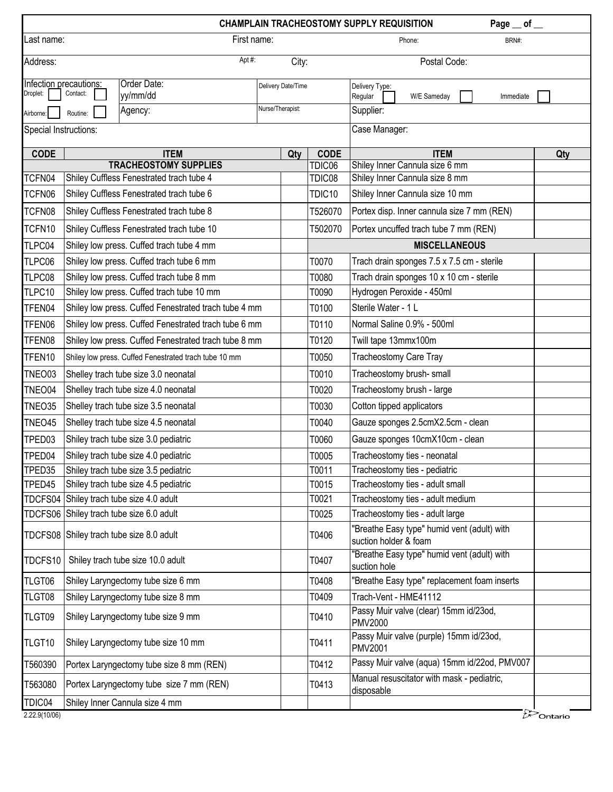|                       |                                                                                     |                                          |             |     |                    | Page $\_$ of $\_$<br><b>CHAMPLAIN TRACHEOSTOMY SUPPLY REQUISITION</b> |     |  |  |  |
|-----------------------|-------------------------------------------------------------------------------------|------------------------------------------|-------------|-----|--------------------|-----------------------------------------------------------------------|-----|--|--|--|
| Last name:            |                                                                                     |                                          | First name: |     |                    | Phone:<br>BRN#:                                                       |     |  |  |  |
| Apt#:<br>Address:     |                                                                                     |                                          |             |     | City:              | Postal Code:                                                          |     |  |  |  |
| Droplet:              | Order Date:<br>Infection precautions:<br>Delivery Date/Time<br>Contact:<br>yy/mm/dd |                                          |             |     |                    | Delivery Type:<br>Regular<br>W/E Sameday<br>Immediate                 |     |  |  |  |
| Airborne:             | Nurse/Therapist:<br>Agency:<br>Routine:                                             |                                          |             |     |                    | Supplier:                                                             |     |  |  |  |
| Special Instructions: |                                                                                     |                                          |             |     |                    | Case Manager:                                                         |     |  |  |  |
| <b>CODE</b>           |                                                                                     | <b>ITEM</b>                              |             | Qty | <b>CODE</b>        | <b>ITEM</b>                                                           | Qty |  |  |  |
|                       |                                                                                     | <b>TRACHEOSTOMY SUPPLIES</b>             |             |     | TDIC06             | Shiley Inner Cannula size 6 mm                                        |     |  |  |  |
| TCFN04                | Shiley Cuffless Fenestrated trach tube 4                                            |                                          |             |     | TDIC08             | Shiley Inner Cannula size 8 mm                                        |     |  |  |  |
| TCFN06                | Shiley Cuffless Fenestrated trach tube 6                                            |                                          |             |     | TDIC <sub>10</sub> | Shiley Inner Cannula size 10 mm                                       |     |  |  |  |
| TCFN08                | Shiley Cuffless Fenestrated trach tube 8                                            |                                          |             |     | T526070            | Portex disp. Inner cannula size 7 mm (REN)                            |     |  |  |  |
| TCFN10                | Shiley Cuffless Fenestrated trach tube 10                                           |                                          |             |     | T502070            | Portex uncuffed trach tube 7 mm (REN)                                 |     |  |  |  |
| TLPC04                | Shiley low press. Cuffed trach tube 4 mm                                            |                                          |             |     |                    | <b>MISCELLANEOUS</b>                                                  |     |  |  |  |
| TLPC06                | Shiley low press. Cuffed trach tube 6 mm                                            |                                          |             |     | T0070              | Trach drain sponges 7.5 x 7.5 cm - sterile                            |     |  |  |  |
| TLPC08                | Shiley low press. Cuffed trach tube 8 mm                                            |                                          |             |     | T0080              | Trach drain sponges 10 x 10 cm - sterile                              |     |  |  |  |
| TLPC10                | Shiley low press. Cuffed trach tube 10 mm                                           |                                          |             |     | T0090              | Hydrogen Peroxide - 450ml                                             |     |  |  |  |
| TFEN04                | Shiley low press. Cuffed Fenestrated trach tube 4 mm                                |                                          |             |     | T0100              | Sterile Water - 1 L                                                   |     |  |  |  |
| TFEN06                | Shiley low press. Cuffed Fenestrated trach tube 6 mm                                |                                          |             |     | T0110              | Normal Saline 0.9% - 500ml                                            |     |  |  |  |
| TFEN08                | Shiley low press. Cuffed Fenestrated trach tube 8 mm                                |                                          |             |     | T0120              | Twill tape 13mmx100m                                                  |     |  |  |  |
| TFEN10                | Shiley low press. Cuffed Fenestrated trach tube 10 mm                               |                                          |             |     | T0050              | Tracheostomy Care Tray                                                |     |  |  |  |
| TNEO03                | Shelley trach tube size 3.0 neonatal                                                |                                          |             |     | T0010              | Tracheostomy brush-small                                              |     |  |  |  |
| TNEO04                | Shelley trach tube size 4.0 neonatal                                                |                                          |             |     | T0020              | Tracheostomy brush - large                                            |     |  |  |  |
| TNEO35                | Shelley trach tube size 3.5 neonatal                                                |                                          |             |     | T0030              | Cotton tipped applicators                                             |     |  |  |  |
| TNEO45                |                                                                                     | Shelley trach tube size 4.5 neonatal     |             |     | T0040              | Gauze sponges 2.5cmX2.5cm - clean                                     |     |  |  |  |
| TPED03                | Shiley trach tube size 3.0 pediatric                                                |                                          |             |     | T0060              | Gauze sponges 10cmX10cm - clean                                       |     |  |  |  |
| TPED04                | Shiley trach tube size 4.0 pediatric                                                |                                          |             |     | T0005              | Tracheostomy ties - neonatal                                          |     |  |  |  |
| TPED35                | Shiley trach tube size 3.5 pediatric                                                |                                          |             |     | T0011              | Tracheostomy ties - pediatric                                         |     |  |  |  |
| TPED45                | Shiley trach tube size 4.5 pediatric                                                |                                          |             |     | T0015              | Tracheostomy ties - adult small                                       |     |  |  |  |
|                       | TDCFS04 Shiley trach tube size 4.0 adult                                            |                                          |             |     | T0021              | Tracheostomy ties - adult medium                                      |     |  |  |  |
|                       |                                                                                     | TDCFS06 Shiley trach tube size 6.0 adult |             |     | T0025              | Tracheostomy ties - adult large                                       |     |  |  |  |
|                       |                                                                                     | TDCFS08 Shiley trach tube size 8.0 adult |             |     | T0406              | "Breathe Easy type" humid vent (adult) with<br>suction holder & foam  |     |  |  |  |
| TDCFS10               |                                                                                     | Shiley trach tube size 10.0 adult        |             |     | T0407              | "Breathe Easy type" humid vent (adult) with<br>suction hole           |     |  |  |  |
| TLGT06                | Shiley Laryngectomy tube size 6 mm                                                  |                                          |             |     | T0408              | "Breathe Easy type" replacement foam inserts                          |     |  |  |  |
| TLGT08                | Shiley Laryngectomy tube size 8 mm                                                  |                                          |             |     | T0409              | Trach-Vent - HME41112                                                 |     |  |  |  |
| TLGT09                | Shiley Laryngectomy tube size 9 mm                                                  |                                          |             |     | T0410              | Passy Muir valve (clear) 15mm id/23od,<br><b>PMV2000</b>              |     |  |  |  |
| TLGT10                | Shiley Laryngectomy tube size 10 mm                                                 |                                          |             |     | T0411              | Passy Muir valve (purple) 15mm id/23od,<br><b>PMV2001</b>             |     |  |  |  |
| T560390               |                                                                                     | Portex Laryngectomy tube size 8 mm (REN) |             |     | T0412              | Passy Muir valve (aqua) 15mm id/22od, PMV007                          |     |  |  |  |
| T563080               |                                                                                     | Portex Laryngectomy tube size 7 mm (REN) |             |     | T0413              | Manual resuscitator with mask - pediatric,<br>disposable              |     |  |  |  |
| TDIC04<br>2220(10/06) |                                                                                     | Shiley Inner Cannula size 4 mm           |             |     |                    | t.                                                                    |     |  |  |  |